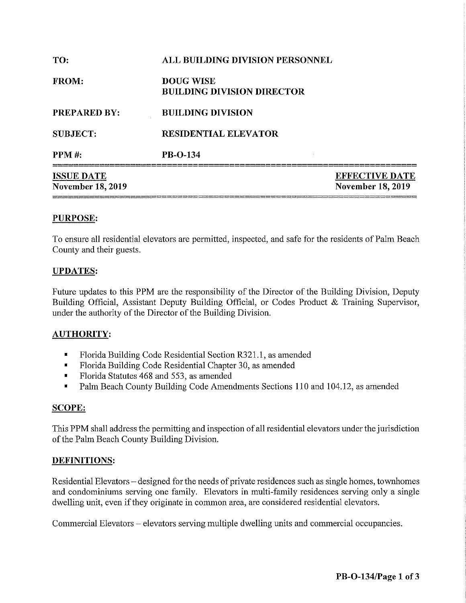| <b>ISSUE DATE</b><br><b>November 18, 2019</b> |                                                       | <b>EFFECTIVE DATE</b><br><b>November 18, 2019</b> |
|-----------------------------------------------|-------------------------------------------------------|---------------------------------------------------|
| <b>PPM</b> #:                                 | <b>PB-O-134</b>                                       |                                                   |
| <b>SUBJECT:</b>                               | <b>RESIDENTIAL ELEVATOR</b>                           |                                                   |
| <b>PREPARED BY:</b>                           | <b>BUILDING DIVISION</b>                              |                                                   |
| FROM:                                         | <b>DOUG WISE</b><br><b>BUILDING DIVISION DIRECTOR</b> |                                                   |
| TO:                                           | ALL BUILDING DIVISION PERSONNEL                       |                                                   |

### **PURPOSE:**

To ensure all residential elevators are permitted, inspected, and safe for the residents of Palm Beach County and their guests.

### **UPDATES:**

Future updates to this PPM are the responsibility of the Director of the Building Division, Deputy Building Official, Assistant Deputy Building Official, or Codes Product & Training Supervisor, under the authority of the Director of the Building Division.

### **AUTHORITY:**

- Florida Building Code Residential Section R321.1, as amended
- Florida Building Code Residential Chapter 30, as amended
- Florida Statutes 468 and 553, as amended
- Palm Beach County Building Code Amendments Sections 110 and 104.12, as amended

### **SCOPE:**

This PPM shall address the permitting and inspection of all residential elevators under the jurisdiction of the Palm Beach County Building Division.

### **DEFINITIONS:**

Residential Elevators - designed for the needs of private residences such as single homes, townhomes and condominiums serving one family. Elevators in multi-family residences serving only a single dwelling unit, even if they originate in common area, are considered residential elevators.

Commercial Elevators - elevators serving multiple dwelling units and commercial occupancies.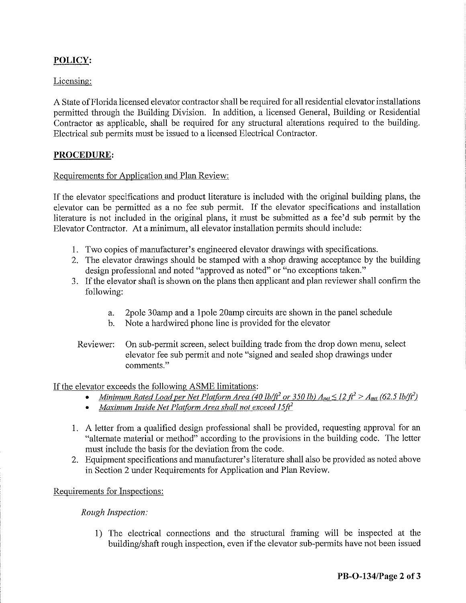# **POLICY:**

## Licensing:

A State of Florida licensed elevator contractor shall be required for all residential elevator installations permitted through the Building Division. In addition, a licensed General, Building or Residential Contractor as applicable, shall be required for any structural alterations required to the building. Electrical sub permits must be issued to a licensed Electrical Contractor.

## **PROCEDURE:**

### Requirements for Application and Plan Review:

If the elevator specifications and product literature is included with the original building plans, the elevator can be permitted as a no fee sub permit. If the elevator specifications and installation literature is not included in the original plans, it must be submitted as a fee'd sub permit by the Elevator Contractor. At a minimum, all elevator installation permits should include:

- 1. Two copies of manufacturer's engineered elevator drawings with specifications.
- 2. The elevator drawings should be stamped with a shop drawing acceptance by the building design professional and noted "approved as noted" or "no exceptions taken."
- 3. If the elevator shaft is shown on the plans then applicant and plan reviewer shall confitm the following:
	- a. 2pole 30amp and a 1 pole 20amp circuits are shown in the panel schedule
	- b. Note a hardwired phone line is provided for the elevator
	- Reviewer: On sub-permit screen, select building trade from the drop down menu, select elevator fee sub permit and note "signed and sealed shop drawings under comments."

### If the elevator exceeds the following ASME limitations:

- *Minimum Rated Load per Net Platform Area (40 lb/ft<sup>2</sup> or 350 lb)*  $A_{net} \leq 12$   $ft^2 > A_{net}$  (62.5 lb/ft<sup>2</sup>)
- *Maximum Inside Net Platform Area shall not exceed 15ft<sup>2</sup>*
- 1. A letter from a qualified design professional shall be provided, requesting approval for an "alternate material or method" according to the provisions in the building code. The letter must include the basis for the deviation from the code.
- 2. Equipment specifications and manufacturer's literature shall also be provided as noted above in Section 2 under Requirements for Application and Plan Review.

Requirements for Inspections:

### *Rough Inspection:*

1) The electrical connections and the structural framing will be inspected at the building/shaft rough inspection, even if the elevator sub-permits have not been issued